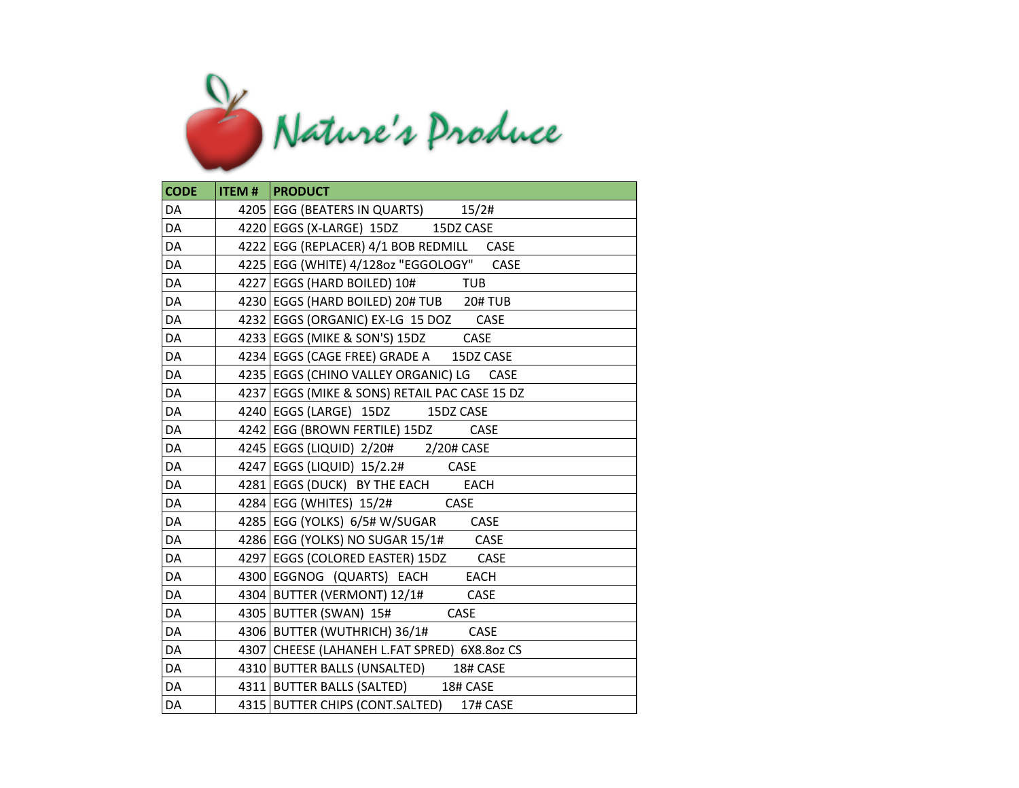

| <b>CODE</b> | <b>ITEM #   PRODUCT</b>                       |
|-------------|-----------------------------------------------|
| DA          | 4205   EGG (BEATERS IN QUARTS) 15/2#          |
| DA          | 4220 EGGS (X-LARGE) 15DZ 15DZ CASE            |
| DA          | 4222 EGG (REPLACER) 4/1 BOB REDMILL CASE      |
| DA          | 4225   EGG (WHITE) 4/1280z "EGGOLOGY" CASE    |
| DA          | 4227 EGGS (HARD BOILED) 10# TUB               |
| DA          | 4230 EGGS (HARD BOILED) 20# TUB 20# TUB       |
| DA          | 4232 EGGS (ORGANIC) EX-LG 15 DOZ CASE         |
| DA          | 4233   EGGS (MIKE & SON'S) 15DZ CASE          |
| DA          | 4234 EGGS (CAGE FREE) GRADE A 15DZ CASE       |
| DA          | 4235   EGGS (CHINO VALLEY ORGANIC) LG CASE    |
| DA          | 4237 EGGS (MIKE & SONS) RETAIL PAC CASE 15 DZ |
| DA          | 4240 EGGS (LARGE) 15DZ 15DZ CASE              |
| DA          | 4242 EGG (BROWN FERTILE) 15DZ CASE            |
| DA          | 4245   EGGS (LIQUID) 2/20# 2/20# CASE         |
| DA          | 4247 EGGS (LIQUID) 15/2.2# CASE               |
| DA          | 4281 EGGS (DUCK) BY THE EACH EACH             |
| DA          | $4284$ EGG (WHITES) $15/2\#$ CASE             |
| DA          | 4285 EGG (YOLKS) 6/5# W/SUGAR CASE            |
| DA          | 4286 EGG (YOLKS) NO SUGAR 15/1# CASE          |
| DA          | 4297   EGGS (COLORED EASTER) 15DZ CASE        |
| DA          | 4300 EGGNOG (QUARTS) EACH EACH                |
| DA          | 4304 BUTTER (VERMONT) 12/1# CASE              |
| DA          | 4305 BUTTER (SWAN) 15# CASE                   |
| DA          | 4306 BUTTER (WUTHRICH) 36/1# CASE             |
| DA          | 4307 CHEESE (LAHANEH L.FAT SPRED) 6X8.8oz CS  |
| DA          | 4310 BUTTER BALLS (UNSALTED) 18# CASE         |
| DA          | 4311 BUTTER BALLS (SALTED) 18# CASE           |
| DA          | 4315 BUTTER CHIPS (CONT.SALTED)<br>17# CASE   |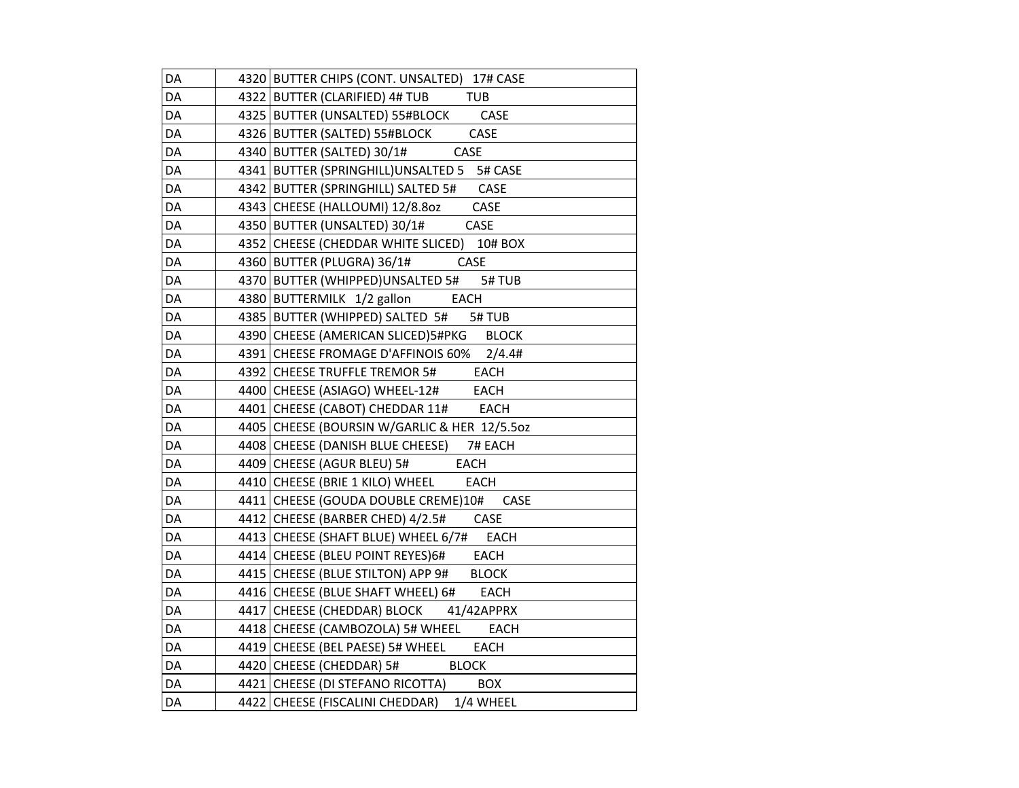| DA | 4320 BUTTER CHIPS (CONT. UNSALTED) 17# CASE        |
|----|----------------------------------------------------|
| DA | 4322 BUTTER (CLARIFIED) 4# TUB<br><b>TUB</b>       |
| DA | 4325 BUTTER (UNSALTED) 55#BLOCK CASE               |
| DA | 4326 BUTTER (SALTED) 55#BLOCK<br>CASE              |
| DA | 4340 BUTTER (SALTED) 30/1#<br>CASE                 |
| DA | 4341 BUTTER (SPRINGHILL)UNSALTED 5 5# CASE         |
| DA | 4342   BUTTER (SPRINGHILL) SALTED 5# CASE          |
| DA | 4343 CHEESE (HALLOUMI) 12/8.80z<br>CASE            |
| DA | CASE<br>4350 BUTTER (UNSALTED) 30/1#               |
| DA | 4352 CHEESE (CHEDDAR WHITE SLICED)<br>10# BOX      |
| DA | 4360 BUTTER (PLUGRA) 36/1#<br>CASE                 |
| DA | 4370 BUTTER (WHIPPED)UNSALTED 5#<br>5#TUB          |
| DA | 4380 BUTTERMILK 1/2 gallon<br>EACH                 |
| DA | 4385 BUTTER (WHIPPED) SALTED 5# 5# TUB             |
| DA | 4390 CHEESE (AMERICAN SLICED) 5#PKG BLOCK          |
| DA | 4391 CHEESE FROMAGE D'AFFINOIS 60% 2/4.4#          |
| DA | 4392 CHEESE TRUFFLE TREMOR 5# EACH                 |
| DA | 4400 CHEESE (ASIAGO) WHEEL-12#<br>EACH             |
| DA | 4401 CHEESE (CABOT) CHEDDAR 11# EACH               |
| DA | 4405 CHEESE (BOURSIN W/GARLIC & HER 12/5.502       |
| DA | 4408 CHEESE (DANISH BLUE CHEESE)<br>7# EACH        |
| DA | 4409 CHEESE (AGUR BLEU) 5# EACH                    |
| DA | 4410 CHEESE (BRIE 1 KILO) WHEEL<br><b>EACH</b>     |
| DA | 4411 CHEESE (GOUDA DOUBLE CREME)10#<br>CASE        |
| DA | 4412 CHEESE (BARBER CHED) 4/2.5#<br>CASE           |
| DA | 4413 CHEESE (SHAFT BLUE) WHEEL 6/7#<br><b>EACH</b> |
| DA | 4414 CHEESE (BLEU POINT REYES) 6# EACH             |
| DA | 4415 CHEESE (BLUE STILTON) APP 9#<br><b>BLOCK</b>  |
| DA | 4416 CHEESE (BLUE SHAFT WHEEL) 6#<br>EACH          |
| DA | 4417 CHEESE (CHEDDAR) BLOCK 41/42APPRX             |
| DA | 4418 CHEESE (CAMBOZOLA) 5# WHEEL<br><b>EACH</b>    |
| DA | 4419 CHEESE (BEL PAESE) 5# WHEEL<br>EACH           |
| DA | 4420 CHEESE (CHEDDAR) 5#<br><b>BLOCK</b>           |
| DA | 4421 CHEESE (DI STEFANO RICOTTA) BOX               |
| DA | 4422 CHEESE (FISCALINI CHEDDAR) 1/4 WHEEL          |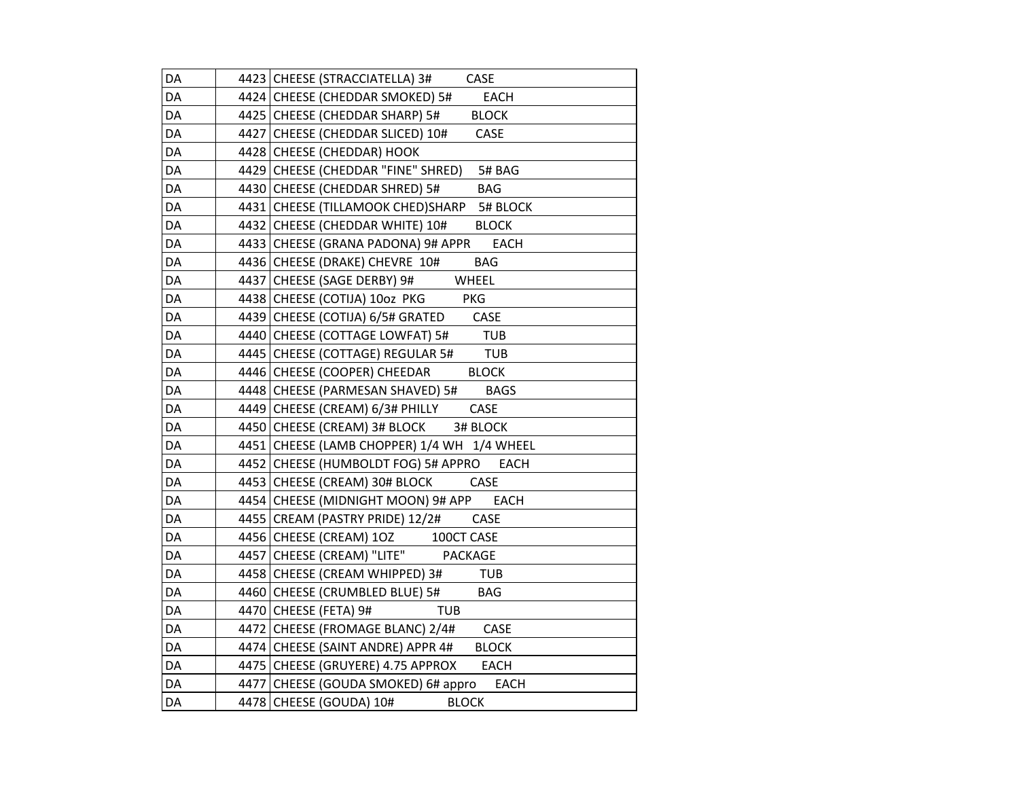| DA | 4423 CHEESE (STRACCIATELLA) 3#<br>CASE             |
|----|----------------------------------------------------|
| DA | 4424 CHEESE (CHEDDAR SMOKED) 5# EACH               |
| DA | 4425 CHEESE (CHEDDAR SHARP) 5# BLOCK               |
| DA | 4427 CHEESE (CHEDDAR SLICED) 10#<br>CASE           |
| DA | 4428 CHEESE (CHEDDAR) HOOK                         |
| DA | 4429 CHEESE (CHEDDAR "FINE" SHRED)<br>5# BAG       |
| DA | 4430 CHEESE (CHEDDAR SHRED) 5#<br><b>BAG</b>       |
| DA | 4431 CHEESE (TILLAMOOK CHED)SHARP 5# BLOCK         |
| DA | 4432 CHEESE (CHEDDAR WHITE) 10#<br><b>BLOCK</b>    |
| DA | 4433 CHEESE (GRANA PADONA) 9# APPR<br><b>EACH</b>  |
| DA | 4436 CHEESE (DRAKE) CHEVRE 10#<br>BAG              |
| DA | 4437 CHEESE (SAGE DERBY) 9#<br>WHEEL               |
| DA | 4438 CHEESE (COTIJA) 10oz PKG<br>PKG               |
| DA | 4439 CHEESE (COTIJA) 6/5# GRATED CASE              |
| DA | 4440 CHEESE (COTTAGE LOWFAT) 5#<br><b>TUB</b>      |
| DA | 4445 CHEESE (COTTAGE) REGULAR 5# TUB               |
| DA | 4446 CHEESE (COOPER) CHEEDAR<br><b>BLOCK</b>       |
| DA | 4448 CHEESE (PARMESAN SHAVED) 5#<br><b>BAGS</b>    |
| DA | CASE<br>4449 CHEESE (CREAM) 6/3# PHILLY            |
| DA | 4450 CHEESE (CREAM) 3# BLOCK 3# BLOCK              |
| DA | 4451 CHEESE (LAMB CHOPPER) 1/4 WH 1/4 WHEEL        |
| DA | 4452 CHEESE (HUMBOLDT FOG) 5# APPRO<br><b>EACH</b> |
| DA | 4453 CHEESE (CREAM) 30# BLOCK<br><b>CASE</b>       |
| DA | 4454 CHEESE (MIDNIGHT MOON) 9# APP<br>EACH         |
| DA | 4455 CREAM (PASTRY PRIDE) 12/2#<br><b>CASE</b>     |
| DA | 4456 CHEESE (CREAM) 1OZ 100CT CASE                 |
| DA | 4457 CHEESE (CREAM) "LITE" PACKAGE                 |
| DA | 4458 CHEESE (CREAM WHIPPED) 3# TUB                 |
| DA | 4460 CHEESE (CRUMBLED BLUE) 5#<br><b>BAG</b>       |
| DA | 4470 CHEESE (FETA) 9#<br><b>TUB</b>                |
| DA | 4472 CHEESE (FROMAGE BLANC) 2/4#<br>CASE           |
| DA | 4474 CHEESE (SAINT ANDRE) APPR 4# BLOCK            |
| DA | 4475 CHEESE (GRUYERE) 4.75 APPROX EACH             |
| DA | 4477 CHEESE (GOUDA SMOKED) 6# appro<br><b>EACH</b> |
| DA | 4478 CHEESE (GOUDA) 10#<br><b>BLOCK</b>            |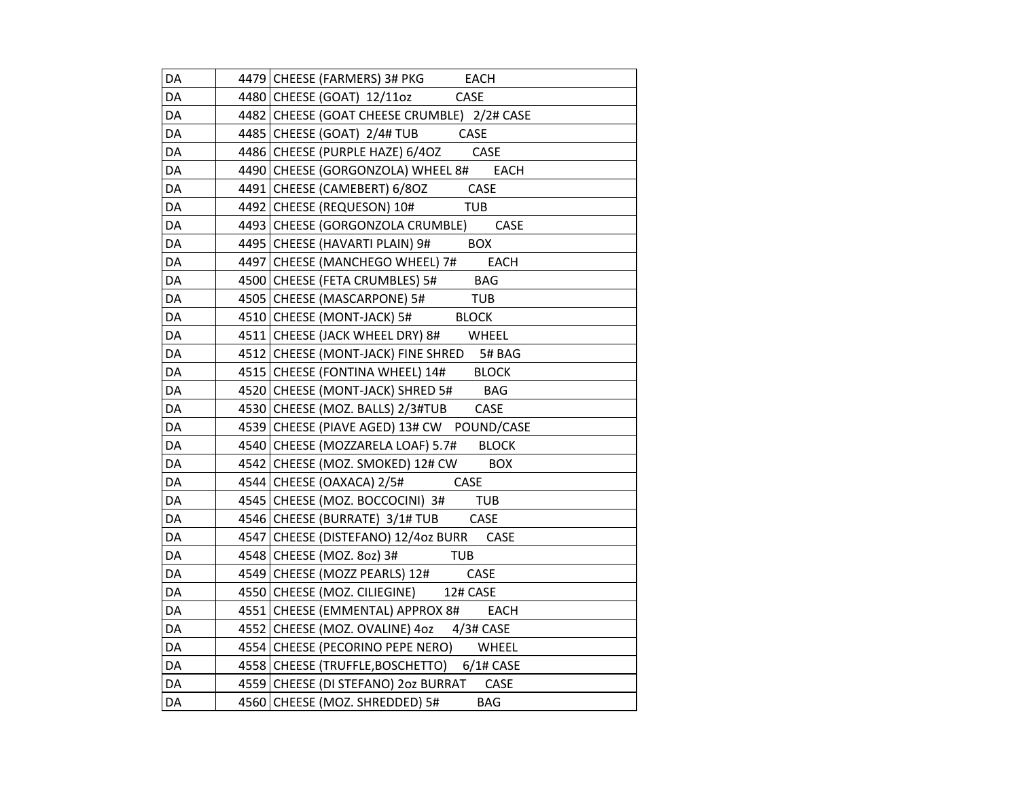| DA | 4479 CHEESE (FARMERS) 3# PKG EACH               |
|----|-------------------------------------------------|
| DA | 4480 CHEESE (GOAT) 12/11oz CASE                 |
| DA | 4482 CHEESE (GOAT CHEESE CRUMBLE) 2/2# CASE     |
| DA | 4485 CHEESE (GOAT) 2/4# TUB CASE                |
| DA | 4486 CHEESE (PURPLE HAZE) 6/4OZ CASE            |
| DA | 4490 CHEESE (GORGONZOLA) WHEEL 8# EACH          |
| DA | 4491 CHEESE (CAMEBERT) 6/8OZ CASE               |
| DA | 4492 CHEESE (REQUESON) 10#<br>TUB               |
| DA | 4493 CHEESE (GORGONZOLA CRUMBLE)<br>CASE        |
| DA | 4495 CHEESE (HAVARTI PLAIN) 9# BOX              |
| DA | 4497 CHEESE (MANCHEGO WHEEL) 7# EACH            |
| DA | 4500 CHEESE (FETA CRUMBLES) 5# BAG              |
| DA | 4505 CHEESE (MASCARPONE) 5#<br>TUB.             |
| DA | 4510 CHEESE (MONT-JACK) 5# BLOCK                |
| DA | 4511 CHEESE (JACK WHEEL DRY) 8# WHEEL           |
| DA | 4512 CHEESE (MONT-JACK) FINE SHRED 5# BAG       |
| DA | 4515 CHEESE (FONTINA WHEEL) 14# BLOCK           |
| DA | 4520 CHEESE (MONT-JACK) SHRED 5# BAG            |
| DA | 4530 CHEESE (MOZ. BALLS) 2/3#TUB CASE           |
| DA | 4539 CHEESE (PIAVE AGED) 13# CW POUND/CASE      |
| DA | 4540 CHEESE (MOZZARELA LOAF) 5.7# BLOCK         |
| DA | 4542 CHEESE (MOZ. SMOKED) 12# CW BOX            |
| DA | 4544 CHEESE (OAXACA) 2/5#<br>CASE               |
| DA | 4545 CHEESE (MOZ. BOCCOCINI) 3# TUB             |
| DA | 4546 CHEESE (BURRATE) 3/1# TUB CASE             |
| DA | 4547 CHEESE (DISTEFANO) 12/4oz BURR<br>CASE     |
| DA | 4548 CHEESE (MOZ. 8oz) 3#<br><b>TUB</b>         |
| DA | CASE<br>4549 CHEESE (MOZZ PEARLS) 12#           |
| DA | 4550 CHEESE (MOZ. CILIEGINE) 12# CASE           |
| DA | 4551 CHEESE (EMMENTAL) APPROX 8#<br><b>EACH</b> |
| DA | 4552 CHEESE (MOZ. OVALINE) 4oz 4/3# CASE        |
| DA | 4554 CHEESE (PECORINO PEPE NERO) WHEEL          |
| DA | 4558 CHEESE (TRUFFLE, BOSCHETTO) 6/1# CASE      |
| DA | 4559 CHEESE (DI STEFANO) 2oz BURRAT CASE        |
| DA | 4560 CHEESE (MOZ. SHREDDED) 5#<br><b>BAG</b>    |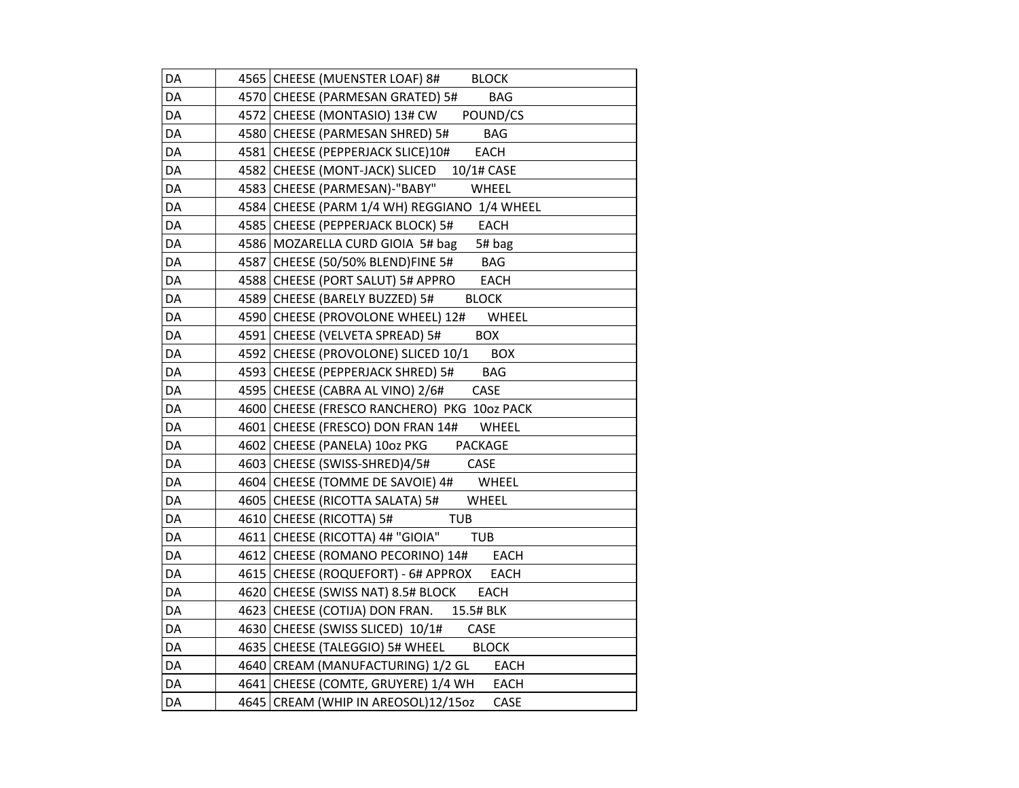| DA | 4565 CHEESE (MUENSTER LOAF) 8# BLOCK               |
|----|----------------------------------------------------|
| DA | 4570 CHEESE (PARMESAN GRATED) 5#<br><b>BAG</b>     |
| DA | 4572 CHEESE (MONTASIO) 13# CW POUND/CS             |
| DA | 4580 CHEESE (PARMESAN SHRED) 5#<br><b>BAG</b>      |
| DA | EACH<br>4581 CHEESE (PEPPERJACK SLICE)10#          |
| DA | 4582 CHEESE (MONT-JACK) SLICED 10/1# CASE          |
| DA | 4583 CHEESE (PARMESAN)-"BABY"<br>WHEEL             |
| DA | 4584 CHEESE (PARM 1/4 WH) REGGIANO 1/4 WHEEL       |
| DA | 4585 CHEESE (PEPPERJACK BLOCK) 5#<br>EACH          |
| DA | 4586 MOZARELLA CURD GIOIA 5# bag<br>5# bag         |
| DA | 4587 CHEESE (50/50% BLEND)FINE 5#<br>BAG           |
| DA | 4588 CHEESE (PORT SALUT) 5# APPRO<br>EACH          |
| DA | 4589 CHEESE (BARELY BUZZED) 5#<br><b>BLOCK</b>     |
| DA | 4590 CHEESE (PROVOLONE WHEEL) 12#<br>WHEEL         |
| DA | 4591 CHEESE (VELVETA SPREAD) 5#<br><b>BOX</b>      |
| DA | 4592 CHEESE (PROVOLONE) SLICED 10/1<br><b>BOX</b>  |
| DA | 4593 CHEESE (PEPPERJACK SHRED) 5#<br>BAG           |
| DA | 4595 CHEESE (CABRA AL VINO) 2/6#<br>CASE           |
| DA | 4600 CHEESE (FRESCO RANCHERO) PKG 10oz PACK        |
| DA | 4601 CHEESE (FRESCO) DON FRAN 14# WHEEL            |
| DA | 4602 CHEESE (PANELA) 10oz PKG PACKAGE              |
| DA | 4603 CHEESE (SWISS-SHRED)4/5#<br>CASE              |
| DA | 4604 CHEESE (TOMME DE SAVOIE) 4#<br>WHEEL          |
| DA | 4605 CHEESE (RICOTTA SALATA) 5#<br>WHEEL           |
| DA | 4610 CHEESE (RICOTTA) 5#<br><b>TUB</b>             |
| DA | 4611 CHEESE (RICOTTA) 4# "GIOIA"<br>TUB            |
| DA | 4612 CHEESE (ROMANO PECORINO) 14#<br>EACH          |
| DA | 4615 CHEESE (ROQUEFORT) - 6# APPROX<br>EACH        |
| DA | 4620 CHEESE (SWISS NAT) 8.5# BLOCK<br><b>EACH</b>  |
| DA | 4623 CHEESE (COTIJA) DON FRAN. 15.5# BLK           |
| DA | 4630 CHEESE (SWISS SLICED) 10/1#<br>CASE           |
| DA | 4635 CHEESE (TALEGGIO) 5# WHEEL BLOCK              |
| DA | 4640 CREAM (MANUFACTURING) 1/2 GL<br><b>EACH</b>   |
| DA | 4641 CHEESE (COMTE, GRUYERE) 1/4 WH<br><b>EACH</b> |
| DA | 4645 CREAM (WHIP IN AREOSOL)12/15oz<br>CASE        |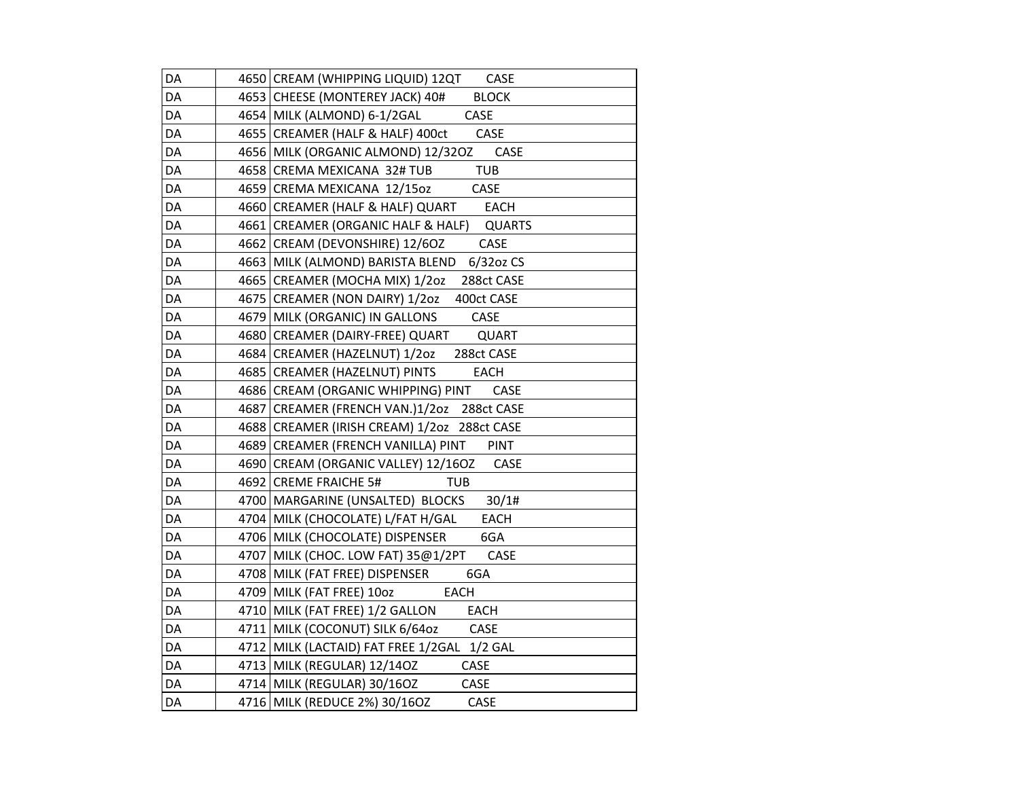| DA | 4650 CREAM (WHIPPING LIQUID) 12QT<br>CASE         |
|----|---------------------------------------------------|
| DA | 4653 CHEESE (MONTEREY JACK) 40#<br><b>BLOCK</b>   |
| DA | 4654 MILK (ALMOND) 6-1/2GAL<br><b>CASE</b>        |
| DA | 4655 CREAMER (HALF & HALF) 400ct<br>CASE          |
| DA | CASE<br>4656 MILK (ORGANIC ALMOND) 12/320Z        |
| DA | <b>TUB</b><br>4658 CREMA MEXICANA 32# TUB         |
| DA | 4659 CREMA MEXICANA 12/15oz<br>CASE               |
| DA | 4660 CREAMER (HALF & HALF) QUART<br><b>EACH</b>   |
| DA | 4661 CREAMER (ORGANIC HALF & HALF) QUARTS         |
| DA | 4662 CREAM (DEVONSHIRE) 12/60Z<br>CASE            |
| DA | 4663 MILK (ALMOND) BARISTA BLEND 6/32oz CS        |
| DA | 4665 CREAMER (MOCHA MIX) 1/202<br>288ct CASE      |
| DA | 4675 CREAMER (NON DAIRY) 1/2oz<br>400ct CASE      |
| DA | 4679 MILK (ORGANIC) IN GALLONS<br>CASE            |
| DA | 4680 CREAMER (DAIRY-FREE) QUART<br>QUART          |
| DA | 4684 CREAMER (HAZELNUT) 1/2oz<br>288ct CASE       |
| DA | 4685   CREAMER (HAZELNUT) PINTS<br>EACH           |
| DA | 4686 CREAM (ORGANIC WHIPPING) PINT<br>CASE        |
| DA | 4687 CREAMER (FRENCH VAN.)1/20z 288ct CASE        |
| DA | 4688   CREAMER (IRISH CREAM) 1/20z 288ct CASE     |
| DA | 4689 CREAMER (FRENCH VANILLA) PINT<br><b>PINT</b> |
| DA | 4690 CREAM (ORGANIC VALLEY) 12/16OZ<br>CASE       |
| DA | 4692 CREME FRAICHE 5#<br>TUB                      |
| DA | 4700   MARGARINE (UNSALTED) BLOCKS<br>30/1#       |
| DA | 4704 MILK (CHOCOLATE) L/FAT H/GAL<br><b>EACH</b>  |
| DA | 4706 MILK (CHOCOLATE) DISPENSER<br>6GA            |
| DA | 4707 MILK (CHOC. LOW FAT) 35@1/2PT<br>CASE        |
| DA | 4708 MILK (FAT FREE) DISPENSER<br>6GA             |
| DA | 4709 MILK (FAT FREE) 100Z<br>EACH                 |
| DA | 4710 MILK (FAT FREE) 1/2 GALLON<br><b>EACH</b>    |
| DA | 4711 MILK (COCONUT) SILK 6/64oz<br>CASE           |
| DA | 4712 MILK (LACTAID) FAT FREE 1/2GAL 1/2 GAL       |
| DA | 4713 MILK (REGULAR) 12/140Z<br>CASE               |
| DA | 4714 MILK (REGULAR) 30/16OZ<br>CASE               |
| DA | 4716 MILK (REDUCE 2%) 30/16OZ<br>CASE             |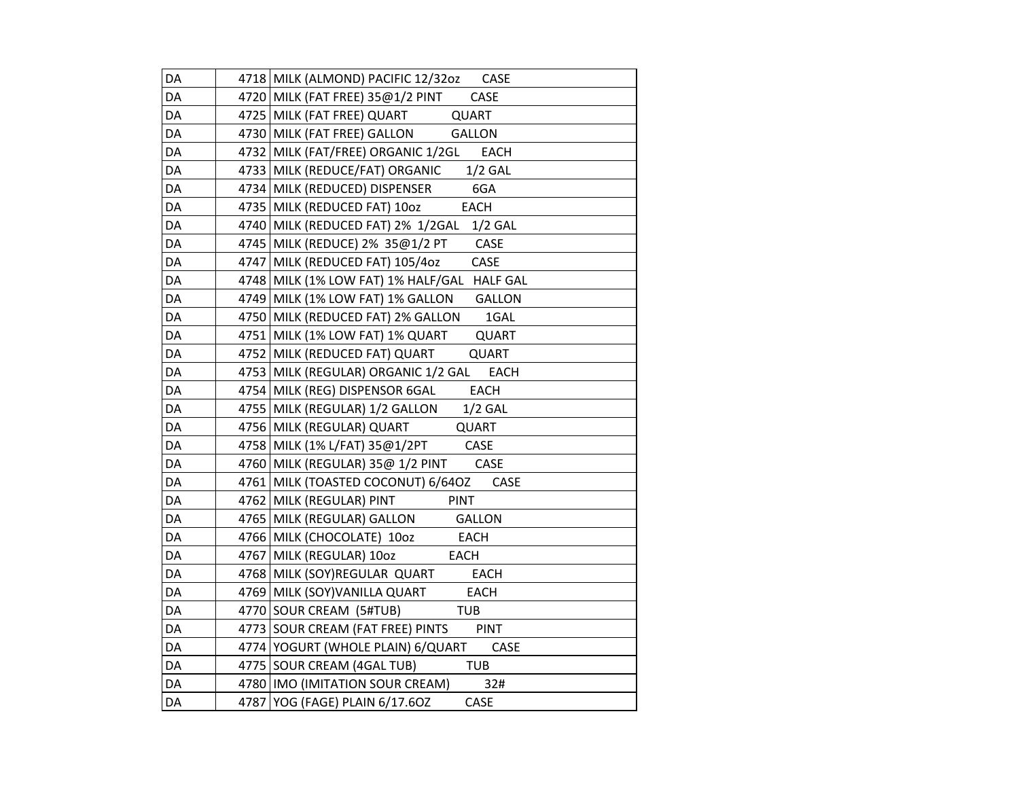| DA | 4718 MILK (ALMOND) PACIFIC 12/32oz CASE             |
|----|-----------------------------------------------------|
| DA | 4720 MILK (FAT FREE) 35@1/2 PINT<br><b>CASE</b>     |
| DA | 4725 MILK (FAT FREE) QUART<br>QUART                 |
| DA | 4730 MILK (FAT FREE) GALLON<br><b>GALLON</b>        |
| DA | 4732 MILK (FAT/FREE) ORGANIC 1/2GL<br><b>EACH</b>   |
| DA | 4733 MILK (REDUCE/FAT) ORGANIC 1/2 GAL              |
| DA | 4734 MILK (REDUCED) DISPENSER<br>6GA                |
| DA | 4735   MILK (REDUCED FAT) 10oz<br><b>EACH</b>       |
| DA | 4740 MILK (REDUCED FAT) 2% 1/2GAL<br>$1/2$ GAL      |
| DA | 4745   MILK (REDUCE) 2% 35@1/2 PT<br>CASE           |
| DA | 4747 MILK (REDUCED FAT) 105/4oz<br>CASE             |
| DA | 4748 MILK (1% LOW FAT) 1% HALF/GAL HALF GAL         |
| DA | 4749   MILK (1% LOW FAT) 1% GALLON<br><b>GALLON</b> |
| DA | 4750 MILK (REDUCED FAT) 2% GALLON<br>1GAL           |
| DA | 4751   MILK (1% LOW FAT) 1% QUART<br><b>QUART</b>   |
| DA | 4752 MILK (REDUCED FAT) QUART<br><b>QUART</b>       |
| DA | 4753 MILK (REGULAR) ORGANIC 1/2 GAL EACH            |
| DA | 4754 MILK (REG) DISPENSOR 6GAL<br><b>EACH</b>       |
| DA | 4755 MILK (REGULAR) 1/2 GALLON<br>$1/2$ GAL         |
| DA | 4756 MILK (REGULAR) QUART<br>QUART                  |
| DA | 4758   MILK (1% L/FAT) 35@1/2PT<br>CASE             |
| DA | 4760 MILK (REGULAR) 35@ 1/2 PINT<br><b>CASE</b>     |
| DA | 4761   MILK (TOASTED COCONUT) 6/64OZ<br>CASE        |
| DA | 4762 MILK (REGULAR) PINT<br><b>PINT</b>             |
| DA | 4765 MILK (REGULAR) GALLON<br><b>GALLON</b>         |
| DA | 4766 MILK (CHOCOLATE) 10oz<br>EACH                  |
| DA | 4767 MILK (REGULAR) 100Z<br>EACH                    |
| DA | 4768 MILK (SOY)REGULAR QUART<br><b>EACH</b>         |
| DA | 4769 MILK (SOY)VANILLA QUART<br><b>EACH</b>         |
| DA | 4770 SOUR CREAM (5#TUB)<br><b>TUB</b>               |
| DA | 4773 SOUR CREAM (FAT FREE) PINTS<br><b>PINT</b>     |
| DA | 4774   YOGURT (WHOLE PLAIN) 6/QUART<br>CASE         |
| DA | 4775 SOUR CREAM (4GAL TUB)<br><b>TUB</b>            |
| DA | 4780 IMO (IMITATION SOUR CREAM)<br>32#              |
| DA | 4787 YOG (FAGE) PLAIN 6/17.6OZ<br>CASE              |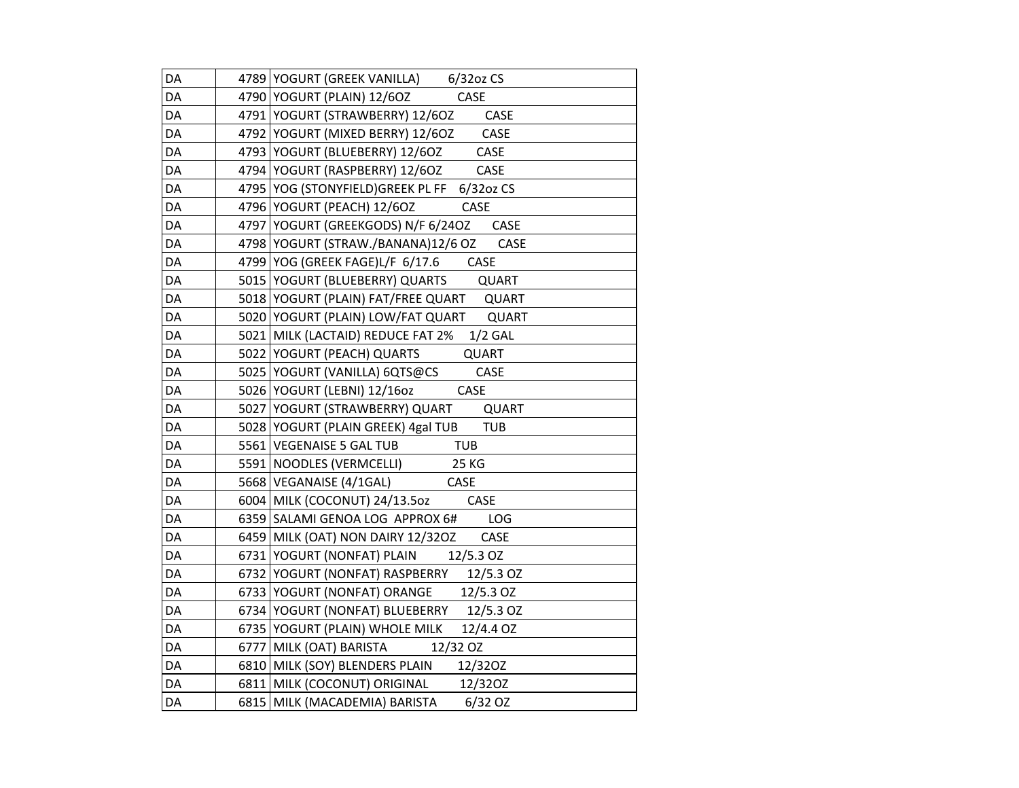| DA | 4789 YOGURT (GREEK VANILLA) 6/32oz CS        |
|----|----------------------------------------------|
| DA | 4790 YOGURT (PLAIN) 12/6OZ CASE              |
| DA | 4791 YOGURT (STRAWBERRY) 12/6OZ CASE         |
| DA | 4792 YOGURT (MIXED BERRY) 12/6OZ CASE        |
| DA | 4793 YOGURT (BLUEBERRY) 12/6OZ CASE          |
| DA | 4794 YOGURT (RASPBERRY) 12/6OZ CASE          |
| DA | 4795 YOG (STONYFIELD) GREEK PL FF 6/32oz CS  |
| DA | 4796 YOGURT (PEACH) 12/6OZ<br>CASE           |
| DA | 4797 YOGURT (GREEKGODS) N/F 6/24OZ CASE      |
| DA | 4798   YOGURT (STRAW./BANANA)12/6 OZ<br>CASE |
| DA | 4799 YOG (GREEK FAGE)L/F 6/17.6<br>CASE      |
| DA | 5015 YOGURT (BLUEBERRY) QUARTS<br>QUART      |
| DA | 5018 YOGURT (PLAIN) FAT/FREE QUART QUART     |
| DA | 5020 YOGURT (PLAIN) LOW/FAT QUART QUART      |
| DA | 5021 MILK (LACTAID) REDUCE FAT 2% 1/2 GAL    |
| DA | 5022 YOGURT (PEACH) QUARTS<br>QUART          |
| DA | 5025 YOGURT (VANILLA) 6QTS@CS<br>CASE        |
| DA | 5026 YOGURT (LEBNI) 12/16oz<br><b>CASE</b>   |
| DA | 5027 YOGURT (STRAWBERRY) QUART QUART         |
| DA | 5028 YOGURT (PLAIN GREEK) 4gal TUB TUB       |
| DA | 5561 VEGENAISE 5 GAL TUB TUB                 |
| DA | 25 KG<br>5591 NOODLES (VERMCELLI)            |
| DA | 5668 VEGANAISE (4/1GAL) CASE                 |
| DA | 6004   MILK (COCONUT) 24/13.5oz<br>CASE      |
| DA | 6359 SALAMI GENOA LOG APPROX 6#<br>LOG       |
| DA | 6459   MILK (OAT) NON DAIRY 12/32OZ<br>CASE  |
| DA | 6731 YOGURT (NONFAT) PLAIN 12/5.3 OZ         |
| DA | 6732 YOGURT (NONFAT) RASPBERRY 12/5.3 OZ     |
| DA | 6733 YOGURT (NONFAT) ORANGE 12/5.3 OZ        |
| DA | 6734 YOGURT (NONFAT) BLUEBERRY 12/5.3 OZ     |
| DA | 6735 YOGURT (PLAIN) WHOLE MILK<br>12/4.4 OZ  |
| DA | 6777 MILK (OAT) BARISTA 12/32 OZ             |
| DA | 6810 MILK (SOY) BLENDERS PLAIN 12/320Z       |
| DA | 6811 MILK (COCONUT) ORIGINAL 12/320Z         |
| DA | 6815   MILK (MACADEMIA) BARISTA 6/32 OZ      |